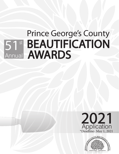# Prince George's County 51<sup>st</sup> BEAUTIFICATION **AWARDS** Annual



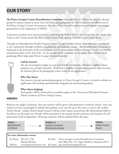# **OUR STORY**

**The Prince George's County Beautification Committee** was established in 1960 as the citizens' advisory group for matters related to street trees and landscaping programs. In 1965 we became an official arm of the Prince George's County Government. On Arbor Day, we work to plant trees and educate our younger generations on the importance of TREES.

Committee members were instrumental in establishing the Willow Oak as the County tree, the Glenn Dale Azalea as the County shrub, Bee Balm as the County herb, and the Daffodil as the County flower.

Through our Beautification Awards Program, Prince George's County honors those who have contributed to the community through excellence in gardening and landscape design. The Beautification Committee is dedicated to the protection of the environment and the preservation of Prince George's County as a healthy and pleasant place to live and work. At our annual awards ceremony, we recognize those citizens whose gardening efforts help make Prince George's County beautiful.



### **Call for Entries!**

You are encouraged to apply on your own behalf or nominate a friend or neighbor whose property you consider beautiful. *If a friend or neighbor is nominating a garden, they must have the nominee fill out the photography wavier section in this application.*

#### **Who May Enter?**

Any person or group maintaining property in Prince George's County is invited to submit an application (this includes professionally designed and maintained gardens).

#### **What About Judging?**

Each garden will be evaluated by accredited judges of the *University of Maryland Extension Master Gardeners of Prince George's County*.

#### **AWARDS**

Based on the judge's evaluation, first year winners will be given a Beautification Certificate Award. First year winners are then encouraged to submit their gardens every year for up to five years to receive the Golden Trowel Award. Golden Trowel Award winners will have their names entered into the Horticultural Hall of Excellence on the sixth year. Awards will be presented at the annual awards ceremony and reception for all participants held in September. Winning recipients will be notified before this date.

| <b>YEAR1</b><br><b>Beautification</b><br>Certificate | $\cdots$                     | <b>YEARS 2-5</b><br><b>Superior Sustained</b><br>Maintenance Award |                                                                  |  | YEAR <sub>6</sub><br><b>Golden Trowel</b><br>Award |
|------------------------------------------------------|------------------------------|--------------------------------------------------------------------|------------------------------------------------------------------|--|----------------------------------------------------|
|                                                      | For more information contact |                                                                    |                                                                  |  |                                                    |
| By Phone: 301-627-7758                               |                              |                                                                    | By Mail: Prince George's County Beautification Committee         |  |                                                    |
| (Brooke Westby)                                      |                              |                                                                    | Post Office Box 143, Upper Marlboro, Maryland 20773              |  |                                                    |
| Website:                                             |                              |                                                                    | www.pgcbeautification.com By Email: pgc.beautification@gmail.com |  |                                                    |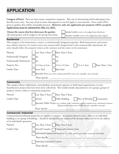## **APPLICATION**

**Category of Entry:** There are three major competition categories. Take care in determining which subcategory best describes your entry. You may check as many subcategories as you feel apply to your situation. Extra credit will be given to gardens that exhibit sustainable practices. **However, only one application per property will be accepted. Applications must be submitted by May 1st, 2021.** 

| Choose the season that best showcases the garden:           | Spring Garden (entry to be judged from May-June)    |
|-------------------------------------------------------------|-----------------------------------------------------|
| All school gardens will be judged in the Spring time frame. | Summer Garden (entry to be judged from July-August) |

#### **Residential**

This category is for homeowners, renters, or professionally designed properties. Both homeowners and renters may submit; however, if a renter's entry was commercially designed and is also commercially maintained, the entry should reflect the property owner as the nominee and the renter as the nominator.

| Planted:                   | Less Than 3 Years<br>More Than 3 Years                                                    |
|----------------------------|-------------------------------------------------------------------------------------------|
| Professionally Designed:   | Yes<br><b>No</b>                                                                          |
| Professionally Maintained: | Yes<br>$\rm No$                                                                           |
| Property Size:             | 1/4 Acre or Less<br>1/4 to 1/2 Acre<br>$1/2$ to 1 Acre<br>More Than 1 Acre                |
| Garden Type:               | <b>Back Yard</b><br>Front Yard                                                            |
|                            | Specialty Area (e.g., herb, oriental, patio/deck, rock, rose, vegetable, rain, xeriscape) |
|                            | Please Specify:                                                                           |

#### **Community**

This category allows subdivisions, municipalities, government agencies or faith-based organizations to enter beautification projects that have been done collectively. This would include educational or civic groups, groups of property owners, clubs or community properties.

| Planted:     | Less Than 3 Years More Than 3 Years                                                                                                                                     |
|--------------|-------------------------------------------------------------------------------------------------------------------------------------------------------------------------|
| Garden Type: | Public Building   Place of Worship   Community<br>School                                                                                                                |
|              | Specialty Public Project (e.g., median, road, community garden, common area, community entrance,<br>playground/recreation area, wildflower, rain, vegetable, xeriscape) |
|              | Please Specify:                                                                                                                                                         |

#### **Commercial / Industrial**

Commercial and industrial properties are eligible to compete. Apartment common areas – either as an individual building or as a group of buildings – should be identified by the address of the business office and not by the address of an individual's apartment.

| Planted:     | Less Than 3 Years   More Than 3 Years                                                      |
|--------------|--------------------------------------------------------------------------------------------|
| Garden Type: | Overall Complex Entrances/Common Areas                                                     |
|              | Individual Commercial Property (i.e., bank, grocery, gas station, restaurant, retail shop) |
|              | Please Specify:                                                                            |
|              | Individual Industrial Property                                                             |
|              | Please Specify:                                                                            |